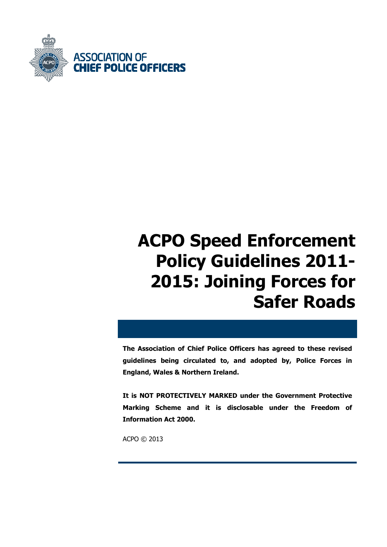

# **ACPO Speed Enforcement Policy Guidelines 2011- 2015: Joining Forces for Safer Roads**

**The Association of Chief Police Officers has agreed to these revised guidelines being circulated to, and adopted by, Police Forces in England, Wales & Northern Ireland.** 

**It is NOT PROTECTIVELY MARKED under the Government Protective Marking Scheme and it is disclosable under the Freedom of Information Act 2000.** 

ACPO © 2013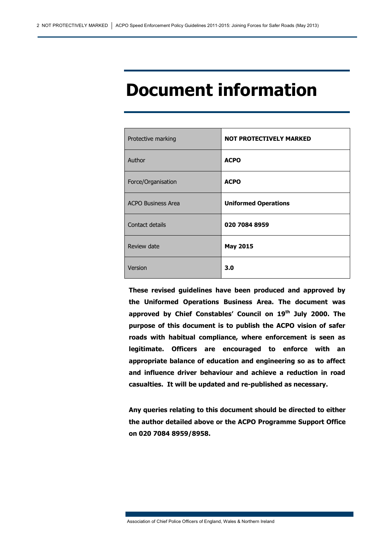## **Document information**

| Protective marking        | <b>NOT PROTECTIVELY MARKED</b> |
|---------------------------|--------------------------------|
| Author                    | <b>ACPO</b>                    |
| Force/Organisation        | <b>ACPO</b>                    |
| <b>ACPO Business Area</b> | <b>Uniformed Operations</b>    |
| Contact details           | 020 7084 8959                  |
| Review date               | <b>May 2015</b>                |
| Version                   | 3.0                            |

**These revised guidelines have been produced and approved by the Uniformed Operations Business Area. The document was approved by Chief Constables' Council on 19th July 2000. The purpose of this document is to publish the ACPO vision of safer roads with habitual compliance, where enforcement is seen as legitimate. Officers are encouraged to enforce with an appropriate balance of education and engineering so as to affect and influence driver behaviour and achieve a reduction in road casualties. It will be updated and re-published as necessary.** 

**Any queries relating to this document should be directed to either the author detailed above or the ACPO Programme Support Office on 020 7084 8959/8958.** 

Association of Chief Police Officers of England, Wales & Northern Ireland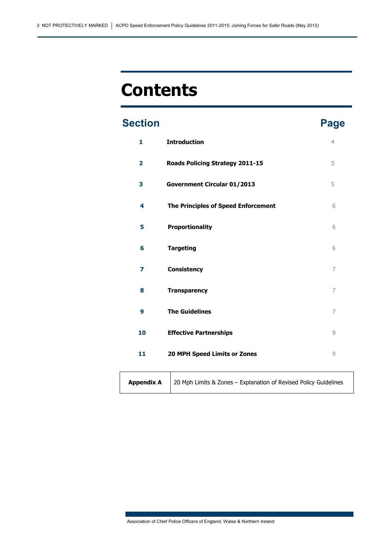# **Contents**

## **Section Page 2012 1 Introduction** 4

| $\overline{\mathbf{2}}$ | Roads Policing Strategy 2011-15     | 5 |
|-------------------------|-------------------------------------|---|
| 3                       | Government Circular 01/2013         | 5 |
| 4                       | The Principles of Speed Enforcement | 6 |
| 5                       | Proportionality                     | 6 |
| 6                       | <b>Targeting</b>                    | 6 |
| 7                       | <b>Consistency</b>                  | 7 |
| 8                       | <b>Transparency</b>                 | 7 |
| 9                       | <b>The Guidelines</b>               | 7 |
| 10                      | <b>Effective Partnerships</b>       | 9 |
| 11                      | 20 MPH Speed Limits or Zones        | 9 |
|                         |                                     |   |

|  | <b>Appendix A</b> $\vert$ 20 Mph Limits & Zones – Explanation of Revised Policy Guidelines |
|--|--------------------------------------------------------------------------------------------|
|--|--------------------------------------------------------------------------------------------|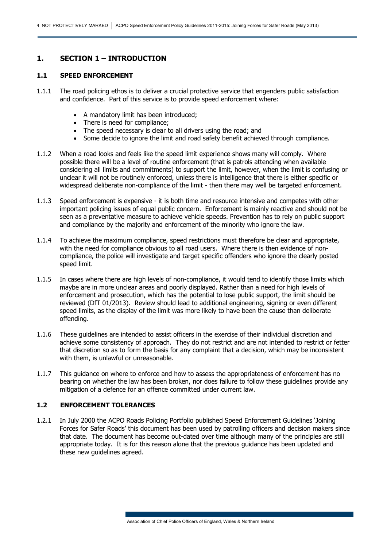## **1. SECTION 1 – INTRODUCTION**

#### **1.1 SPEED ENFORCEMENT**

- 1.1.1 The road policing ethos is to deliver a crucial protective service that engenders public satisfaction and confidence. Part of this service is to provide speed enforcement where:
	- A mandatory limit has been introduced;
	- There is need for compliance:
	- The speed necessary is clear to all drivers using the road; and
	- Some decide to ignore the limit and road safety benefit achieved through compliance.
- 1.1.2 When a road looks and feels like the speed limit experience shows many will comply. Where possible there will be a level of routine enforcement (that is patrols attending when available considering all limits and commitments) to support the limit, however, when the limit is confusing or unclear it will not be routinely enforced, unless there is intelligence that there is either specific or widespread deliberate non-compliance of the limit - then there may well be targeted enforcement.
- 1.1.3 Speed enforcement is expensive it is both time and resource intensive and competes with other important policing issues of equal public concern. Enforcement is mainly reactive and should not be seen as a preventative measure to achieve vehicle speeds. Prevention has to rely on public support and compliance by the majority and enforcement of the minority who ignore the law.
- 1.1.4 To achieve the maximum compliance, speed restrictions must therefore be clear and appropriate, with the need for compliance obvious to all road users. Where there is then evidence of noncompliance, the police will investigate and target specific offenders who ignore the clearly posted speed limit.
- 1.1.5 In cases where there are high levels of non-compliance, it would tend to identify those limits which maybe are in more unclear areas and poorly displayed. Rather than a need for high levels of enforcement and prosecution, which has the potential to lose public support, the limit should be reviewed (DfT 01/2013). Review should lead to additional engineering, signing or even different speed limits, as the display of the limit was more likely to have been the cause than deliberate offending.
- 1.1.6 These guidelines are intended to assist officers in the exercise of their individual discretion and achieve some consistency of approach. They do not restrict and are not intended to restrict or fetter that discretion so as to form the basis for any complaint that a decision, which may be inconsistent with them, is unlawful or unreasonable.
- 1.1.7 This guidance on where to enforce and how to assess the appropriateness of enforcement has no bearing on whether the law has been broken, nor does failure to follow these guidelines provide any mitigation of a defence for an offence committed under current law.

### **1.2 ENFORCEMENT TOLERANCES**

1.2.1 In July 2000 the ACPO Roads Policing Portfolio published Speed Enforcement Guidelines 'Joining Forces for Safer Roads' this document has been used by patrolling officers and decision makers since that date. The document has become out-dated over time although many of the principles are still appropriate today. It is for this reason alone that the previous guidance has been updated and these new guidelines agreed.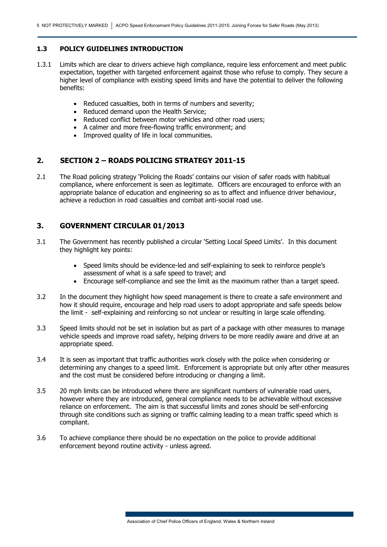#### **1.3 POLICY GUIDELINES INTRODUCTION**

- 1.3.1 Limits which are clear to drivers achieve high compliance, require less enforcement and meet public expectation, together with targeted enforcement against those who refuse to comply. They secure a higher level of compliance with existing speed limits and have the potential to deliver the following benefits:
	- Reduced casualties, both in terms of numbers and severity;
	- Reduced demand upon the Health Service;
	- Reduced conflict between motor vehicles and other road users;
	- A calmer and more free-flowing traffic environment; and
	- Improved quality of life in local communities.

### **2. SECTION 2 – ROADS POLICING STRATEGY 2011-15**

2.1 The Road policing strategy 'Policing the Roads' contains our vision of safer roads with habitual compliance, where enforcement is seen as legitimate. Officers are encouraged to enforce with an appropriate balance of education and engineering so as to affect and influence driver behaviour, achieve a reduction in road casualties and combat anti-social road use.

## **3. GOVERNMENT CIRCULAR 01/2013**

- 3.1 The Government has recently published a circular 'Setting Local Speed Limits'. In this document they highlight key points:
	- Speed limits should be evidence-led and self-explaining to seek to reinforce people's assessment of what is a safe speed to travel; and
	- Encourage self-compliance and see the limit as the maximum rather than a target speed.
- 3.2 In the document they highlight how speed management is there to create a safe environment and how it should require, encourage and help road users to adopt appropriate and safe speeds below the limit - self-explaining and reinforcing so not unclear or resulting in large scale offending.
- 3.3 Speed limits should not be set in isolation but as part of a package with other measures to manage vehicle speeds and improve road safety, helping drivers to be more readily aware and drive at an appropriate speed.
- 3.4 It is seen as important that traffic authorities work closely with the police when considering or determining any changes to a speed limit. Enforcement is appropriate but only after other measures and the cost must be considered before introducing or changing a limit.
- 3.5 20 mph limits can be introduced where there are significant numbers of vulnerable road users, however where they are introduced, general compliance needs to be achievable without excessive reliance on enforcement. The aim is that successful limits and zones should be self-enforcing through site conditions such as signing or traffic calming leading to a mean traffic speed which is compliant.
- 3.6 To achieve compliance there should be no expectation on the police to provide additional enforcement beyond routine activity - unless agreed.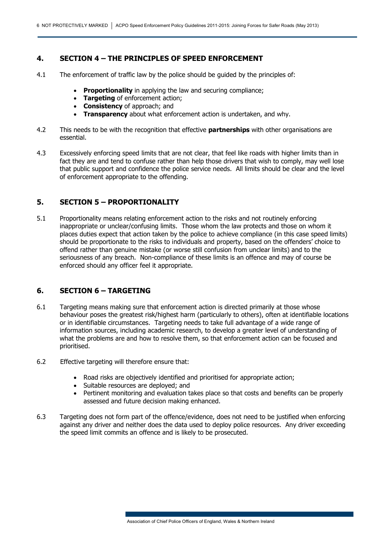## **4. SECTION 4 – THE PRINCIPLES OF SPEED ENFORCEMENT**

- 4.1 The enforcement of traffic law by the police should be guided by the principles of:
	- **Proportionality** in applying the law and securing compliance;
	- **Targeting** of enforcement action;
	- **Consistency** of approach; and
	- **Transparency** about what enforcement action is undertaken, and why.
- 4.2 This needs to be with the recognition that effective **partnerships** with other organisations are essential.
- 4.3 Excessively enforcing speed limits that are not clear, that feel like roads with higher limits than in fact they are and tend to confuse rather than help those drivers that wish to comply, may well lose that public support and confidence the police service needs. All limits should be clear and the level of enforcement appropriate to the offending.

## **5. SECTION 5 – PROPORTIONALITY**

5.1 Proportionality means relating enforcement action to the risks and not routinely enforcing inappropriate or unclear/confusing limits. Those whom the law protects and those on whom it places duties expect that action taken by the police to achieve compliance (in this case speed limits) should be proportionate to the risks to individuals and property, based on the offenders' choice to offend rather than genuine mistake (or worse still confusion from unclear limits) and to the seriousness of any breach. Non-compliance of these limits is an offence and may of course be enforced should any officer feel it appropriate.

## **6. SECTION 6 – TARGETING**

- 6.1 Targeting means making sure that enforcement action is directed primarily at those whose behaviour poses the greatest risk/highest harm (particularly to others), often at identifiable locations or in identifiable circumstances. Targeting needs to take full advantage of a wide range of information sources, including academic research, to develop a greater level of understanding of what the problems are and how to resolve them, so that enforcement action can be focused and prioritised.
- 6.2 Effective targeting will therefore ensure that:
	- Road risks are objectively identified and prioritised for appropriate action;
	- Suitable resources are deployed; and
	- Pertinent monitoring and evaluation takes place so that costs and benefits can be properly assessed and future decision making enhanced.
- 6.3 Targeting does not form part of the offence/evidence, does not need to be justified when enforcing against any driver and neither does the data used to deploy police resources. Any driver exceeding the speed limit commits an offence and is likely to be prosecuted.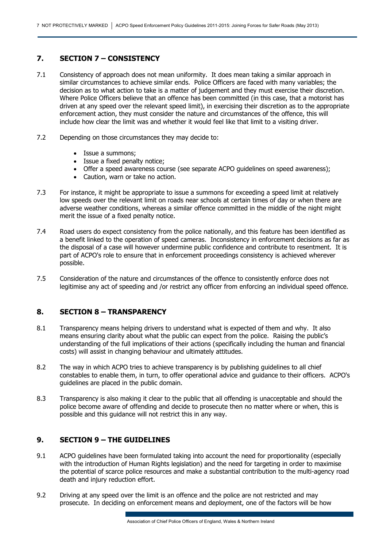#### **7. SECTION 7 – CONSISTENCY**

- 7.1 Consistency of approach does not mean uniformity. It does mean taking a similar approach in similar circumstances to achieve similar ends. Police Officers are faced with many variables; the decision as to what action to take is a matter of judgement and they must exercise their discretion. Where Police Officers believe that an offence has been committed (in this case, that a motorist has driven at any speed over the relevant speed limit), in exercising their discretion as to the appropriate enforcement action, they must consider the nature and circumstances of the offence, this will include how clear the limit was and whether it would feel like that limit to a visiting driver.
- 7.2 Depending on those circumstances they may decide to:
	- Issue a summons;
	- Issue a fixed penalty notice;
	- Offer a speed awareness course (see separate ACPO guidelines on speed awareness);
	- Caution, warn or take no action.
- 7.3 For instance, it might be appropriate to issue a summons for exceeding a speed limit at relatively low speeds over the relevant limit on roads near schools at certain times of day or when there are adverse weather conditions, whereas a similar offence committed in the middle of the night might merit the issue of a fixed penalty notice.
- 7.4 Road users do expect consistency from the police nationally, and this feature has been identified as a benefit linked to the operation of speed cameras. Inconsistency in enforcement decisions as far as the disposal of a case will however undermine public confidence and contribute to resentment. It is part of ACPO's role to ensure that in enforcement proceedings consistency is achieved wherever possible.
- 7.5 Consideration of the nature and circumstances of the offence to consistently enforce does not legitimise any act of speeding and /or restrict any officer from enforcing an individual speed offence.

## **8. SECTION 8 – TRANSPARENCY**

- 8.1 Transparency means helping drivers to understand what is expected of them and why. It also means ensuring clarity about what the public can expect from the police. Raising the public's understanding of the full implications of their actions (specifically including the human and financial costs) will assist in changing behaviour and ultimately attitudes.
- 8.2 The way in which ACPO tries to achieve transparency is by publishing guidelines to all chief constables to enable them, in turn, to offer operational advice and guidance to their officers. ACPO's guidelines are placed in the public domain.
- 8.3 Transparency is also making it clear to the public that all offending is unacceptable and should the police become aware of offending and decide to prosecute then no matter where or when, this is possible and this guidance will not restrict this in any way.

#### **9. SECTION 9 – THE GUIDELINES**

- 9.1 ACPO guidelines have been formulated taking into account the need for proportionality (especially with the introduction of Human Rights legislation) and the need for targeting in order to maximise the potential of scarce police resources and make a substantial contribution to the multi-agency road death and injury reduction effort.
- 9.2 Driving at any speed over the limit is an offence and the police are not restricted and may prosecute. In deciding on enforcement means and deployment, one of the factors will be how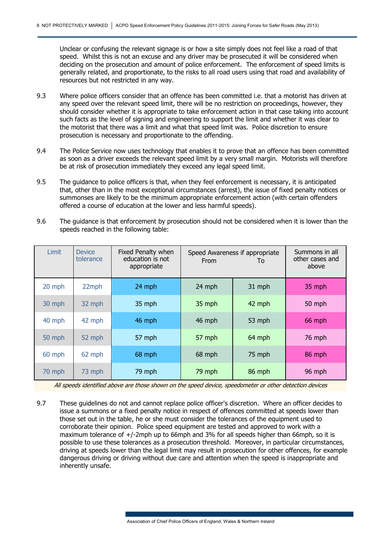Unclear or confusing the relevant signage is or how a site simply does not feel like a road of that speed. Whilst this is not an excuse and any driver may be prosecuted it will be considered when deciding on the prosecution and amount of police enforcement. The enforcement of speed limits is generally related, and proportionate, to the risks to all road users using that road and availability of resources but not restricted in any way.

- 9.3 Where police officers consider that an offence has been committed i.e. that a motorist has driven at any speed over the relevant speed limit, there will be no restriction on proceedings, however, they should consider whether it is appropriate to take enforcement action in that case taking into account such facts as the level of signing and engineering to support the limit and whether it was clear to the motorist that there was a limit and what that speed limit was. Police discretion to ensure prosecution is necessary and proportionate to the offending.
- 9.4 The Police Service now uses technology that enables it to prove that an offence has been committed as soon as a driver exceeds the relevant speed limit by a very small margin. Motorists will therefore be at risk of prosecution immediately they exceed any legal speed limit.
- 9.5 The guidance to police officers is that, when they feel enforcement is necessary, it is anticipated that, other than in the most exceptional circumstances (arrest), the issue of fixed penalty notices or summonses are likely to be the minimum appropriate enforcement action (with certain offenders offered a course of education at the lower and less harmful speeds).
- 9.6 The guidance is that enforcement by prosecution should not be considered when it is lower than the speeds reached in the following table:

| Limit  | <b>Device</b><br>tolerance | Fixed Penalty when<br>education is not<br>appropriate | Speed Awareness if appropriate<br>From<br>To |        | Summons in all<br>other cases and<br>above |
|--------|----------------------------|-------------------------------------------------------|----------------------------------------------|--------|--------------------------------------------|
| 20 mph | 22mph                      | 24 mph                                                | 24 mph                                       | 31 mph | 35 mph                                     |
| 30 mph | 32 mph                     | 35 mph                                                | 35 mph                                       | 42 mph | 50 mph                                     |
| 40 mph | 42 mph                     | 46 mph                                                | 46 mph                                       | 53 mph | 66 mph                                     |
| 50 mph | 52 mph                     | 57 mph                                                | 57 mph                                       | 64 mph | 76 mph                                     |
| 60 mph | 62 mph                     | 68 mph                                                | 68 mph                                       | 75 mph | 86 mph                                     |
| 70 mph | 73 mph                     | 79 mph                                                | 79 mph                                       | 86 mph | 96 mph                                     |

All speeds identified above are those shown on the speed device, speedometer or other detection devices

9.7 These guidelines do not and cannot replace police officer's discretion. Where an officer decides to issue a summons or a fixed penalty notice in respect of offences committed at speeds lower than those set out in the table, he or she must consider the tolerances of the equipment used to corroborate their opinion. Police speed equipment are tested and approved to work with a maximum tolerance of +/-2mph up to 66mph and 3% for all speeds higher than 66mph, so it is possible to use these tolerances as a prosecution threshold. Moreover, in particular circumstances, driving at speeds lower than the legal limit may result in prosecution for other offences, for example dangerous driving or driving without due care and attention when the speed is inappropriate and inherently unsafe.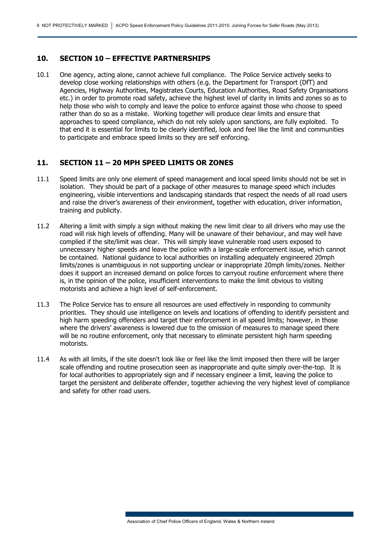#### **10. SECTION 10 – EFFECTIVE PARTNERSHIPS**

10.1 One agency, acting alone, cannot achieve full compliance. The Police Service actively seeks to develop close working relationships with others (e.g. the Department for Transport (DfT) and Agencies, Highway Authorities, Magistrates Courts, Education Authorities, Road Safety Organisations etc.) in order to promote road safety, achieve the highest level of clarity in limits and zones so as to help those who wish to comply and leave the police to enforce against those who choose to speed rather than do so as a mistake. Working together will produce clear limits and ensure that approaches to speed compliance, which do not rely solely upon sanctions, are fully exploited. To that end it is essential for limits to be clearly identified, look and feel like the limit and communities to participate and embrace speed limits so they are self enforcing.

### **11. SECTION 11 – 20 MPH SPEED LIMITS OR ZONES**

- 11.1 Speed limits are only one element of speed management and local speed limits should not be set in isolation. They should be part of a package of other measures to manage speed which includes engineering, visible interventions and landscaping standards that respect the needs of all road users and raise the driver's awareness of their environment, together with education, driver information, training and publicity.
- 11.2 Altering a limit with simply a sign without making the new limit clear to all drivers who may use the road will risk high levels of offending. Many will be unaware of their behaviour, and may well have complied if the site/limit was clear. This will simply leave vulnerable road users exposed to unnecessary higher speeds and leave the police with a large-scale enforcement issue, which cannot be contained. National guidance to local authorities on installing adequately engineered 20mph limits/zones is unambiguous in not supporting unclear or inappropriate 20mph limits/zones. Neither does it support an increased demand on police forces to carryout routine enforcement where there is, in the opinion of the police, insufficient interventions to make the limit obvious to visiting motorists and achieve a high level of self-enforcement.
- 11.3 The Police Service has to ensure all resources are used effectively in responding to community priorities. They should use intelligence on levels and locations of offending to identify persistent and high harm speeding offenders and target their enforcement in all speed limits; however, in those where the drivers' awareness is lowered due to the omission of measures to manage speed there will be no routine enforcement, only that necessary to eliminate persistent high harm speeding motorists.
- 11.4 As with all limits, if the site doesn't look like or feel like the limit imposed then there will be larger scale offending and routine prosecution seen as inappropriate and quite simply over-the-top. It is for local authorities to appropriately sign and if necessary engineer a limit, leaving the police to target the persistent and deliberate offender, together achieving the very highest level of compliance and safety for other road users.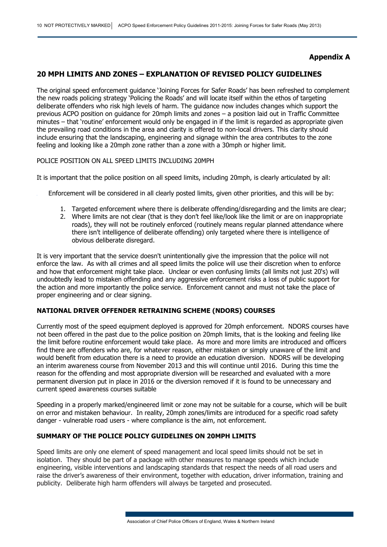## **Appendix A**

#### **20 MPH LIMITS AND ZONES – EXPLANATION OF REVISED POLICY GUIDELINES**

The original speed enforcement guidance 'Joining Forces for Safer Roads' has been refreshed to complement the new roads policing strategy 'Policing the Roads' and will locate itself within the ethos of targeting deliberate offenders who risk high levels of harm. The guidance now includes changes which support the previous ACPO position on guidance for 20mph limits and zones – a position laid out in Traffic Committee minutes – that 'routine' enforcement would only be engaged in if the limit is regarded as appropriate given the prevailing road conditions in the area and clarity is offered to non-local drivers. This clarity should include ensuring that the landscaping, engineering and signage within the area contributes to the zone feeling and looking like a 20mph zone rather than a zone with a 30mph or higher limit.

#### POLICE POSITION ON ALL SPEED LIMITS INCLUDING 20MPH

It is important that the police position on all speed limits, including 20mph, is clearly articulated by all:

- Enforcement will be considered in all clearly posted limits, given other priorities, and this will be by:
	- 1. Targeted enforcement where there is deliberate offending/disregarding and the limits are clear;
	- 2. Where limits are not clear (that is they don't feel like/look like the limit or are on inappropriate roads), they will not be routinely enforced (routinely means regular planned attendance where there isn't intelligence of deliberate offending) only targeted where there is intelligence of obvious deliberate disregard.

It is very important that the service doesn't unintentionally give the impression that the police will not enforce the law. As with all crimes and all speed limits the police will use their discretion when to enforce and how that enforcement might take place. Unclear or even confusing limits (all limits not just 20's) will undoubtedly lead to mistaken offending and any aggressive enforcement risks a loss of public support for the action and more importantly the police service. Enforcement cannot and must not take the place of proper engineering and or clear signing.

#### **NATIONAL DRIVER OFFENDER RETRAINING SCHEME (NDORS) COURSES**

Currently most of the speed equipment deployed is approved for 20mph enforcement. NDORS courses have not been offered in the past due to the police position on 20mph limits, that is the looking and feeling like the limit before routine enforcement would take place. As more and more limits are introduced and officers find there are offenders who are, for whatever reason, either mistaken or simply unaware of the limit and would benefit from education there is a need to provide an education diversion. NDORS will be developing an interim awareness course from November 2013 and this will continue until 2016. During this time the reason for the offending and most appropriate diversion will be researched and evaluated with a more permanent diversion put in place in 2016 or the diversion removed if it is found to be unnecessary and current speed awareness courses suitable

Speeding in a properly marked/engineered limit or zone may not be suitable for a course, which will be built on error and mistaken behaviour. In reality, 20mph zones/limits are introduced for a specific road safety danger - vulnerable road users - where compliance is the aim, not enforcement.

#### **SUMMARY OF THE POLICE POLICY GUIDELINES ON 20MPH LIMITS**

Speed limits are only one element of speed management and local speed limits should not be set in isolation. They should be part of a package with other measures to manage speeds which include engineering, visible interventions and landscaping standards that respect the needs of all road users and raise the driver's awareness of their environment, together with education, driver information, training and publicity. Deliberate high harm offenders will always be targeted and prosecuted.